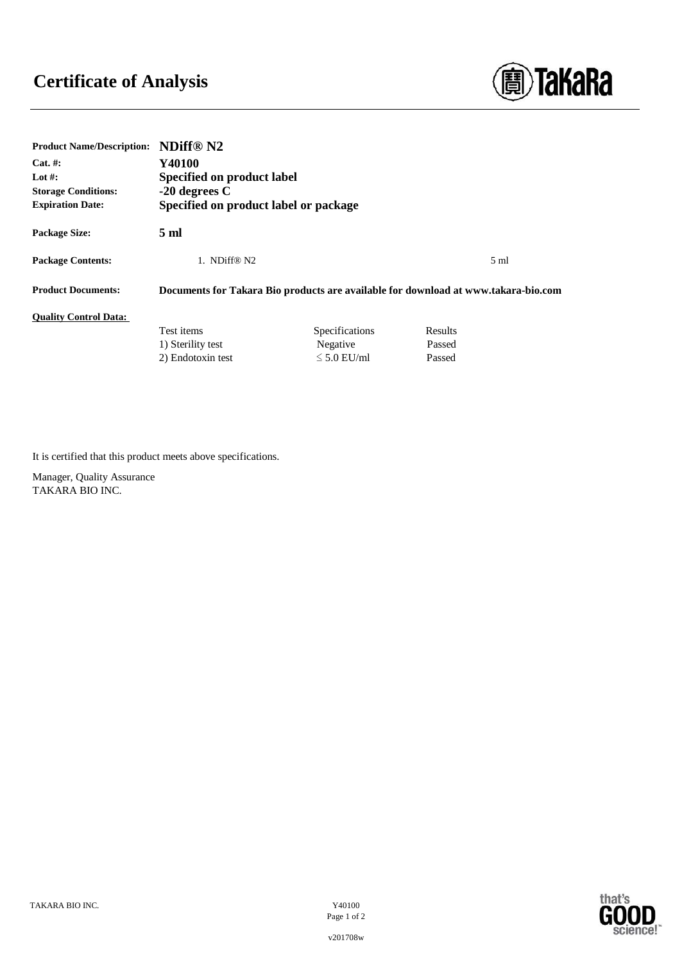## **Certificate of Analysis**



| <b>Product Name/Description:</b> | NDiff® N2                             |                  |                                                                                    |  |
|----------------------------------|---------------------------------------|------------------|------------------------------------------------------------------------------------|--|
| $Cat. \#:$                       | Y40100                                |                  |                                                                                    |  |
| Lot #:                           | Specified on product label            |                  |                                                                                    |  |
| <b>Storage Conditions:</b>       | $-20$ degrees C                       |                  |                                                                                    |  |
| <b>Expiration Date:</b>          | Specified on product label or package |                  |                                                                                    |  |
| Package Size:                    | 5 ml                                  |                  |                                                                                    |  |
| <b>Package Contents:</b>         | 1. NDiff® N2                          |                  | $5 \text{ ml}$                                                                     |  |
| <b>Product Documents:</b>        |                                       |                  | Documents for Takara Bio products are available for download at www.takara-bio.com |  |
| <b>Ouality Control Data:</b>     |                                       |                  |                                                                                    |  |
|                                  | Test items                            | Specifications   | Results                                                                            |  |
|                                  | 1) Sterility test                     | Negative         | Passed                                                                             |  |
|                                  | 2) Endotoxin test                     | $\leq 5.0$ EU/ml | Passed                                                                             |  |

It is certified that this product meets above specifications.

Manager, Quality Assurance TAKARA BIO INC.